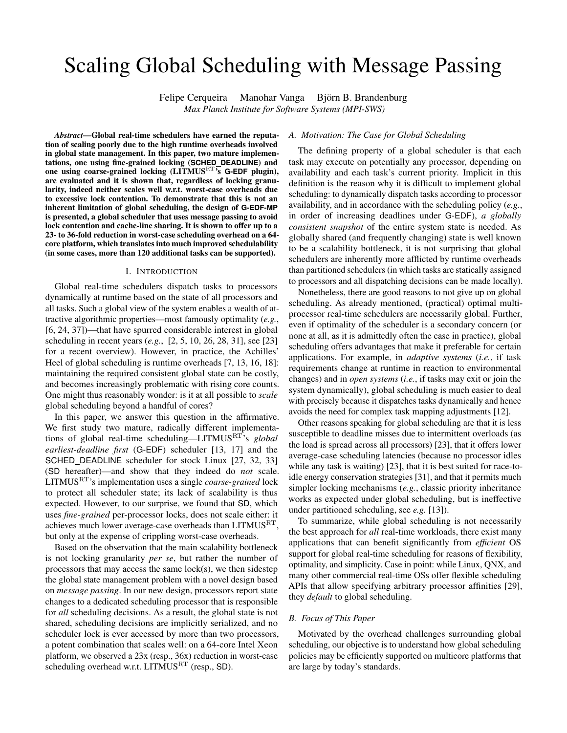# Scaling Global Scheduling with Message Passing

Felipe Cerqueira Manohar Vanga Björn B. Brandenburg *Max Planck Institute for Software Systems (MPI-SWS)*

*Abstract*—Global real-time schedulers have earned the reputation of scaling poorly due to the high runtime overheads involved in global state management. In this paper, two mature implementations, one using fine-grained locking (**SCHED DEADLINE**) and one using coarse-grained locking (LITMUSRT's **G-EDF** plugin), are evaluated and it is shown that, regardless of locking granularity, indeed neither scales well w.r.t. worst-case overheads due to excessive lock contention. To demonstrate that this is not an inherent limitation of global scheduling, the design of **G-EDF-MP** is presented, a global scheduler that uses message passing to avoid lock contention and cache-line sharing. It is shown to offer up to a 23- to 36-fold reduction in worst-case scheduling overhead on a 64 core platform, which translates into much improved schedulability (in some cases, more than 120 additional tasks can be supported).

#### I. INTRODUCTION

Global real-time schedulers dispatch tasks to processors dynamically at runtime based on the state of all processors and all tasks. Such a global view of the system enables a wealth of attractive algorithmic properties—most famously optimality (*e.g.*, [\[6,](#page-10-0) [24,](#page-11-0) [37\]](#page-11-1))—that have spurred considerable interest in global scheduling in recent years (*e.g.*, [\[2,](#page-10-1) [5,](#page-10-2) [10,](#page-10-3) [26,](#page-11-2) [28,](#page-11-3) [31\]](#page-11-4), see [\[23\]](#page-11-5) for a recent overview). However, in practice, the Achilles' Heel of global scheduling is runtime overheads [\[7,](#page-10-4) [13,](#page-10-5) [16,](#page-10-6) [18\]](#page-10-7): maintaining the required consistent global state can be costly, and becomes increasingly problematic with rising core counts. One might thus reasonably wonder: is it at all possible to *scale* global scheduling beyond a handful of cores?

In this paper, we answer this question in the affirmative. We first study two mature, radically different implementations of global real-time scheduling—LITMUSRT's *global earliest-deadline first* (G-EDF) scheduler [\[13,](#page-10-5) [17\]](#page-10-8) and the SCHED DEADLINE scheduler for stock Linux [\[27,](#page-11-6) [32,](#page-11-7) [33\]](#page-11-8) (SD hereafter)—and show that they indeed do *not* scale. LITMUSRT's implementation uses a single *coarse-grained* lock to protect all scheduler state; its lack of scalability is thus expected. However, to our surprise, we found that SD, which uses *fine-grained* per-processor locks, does not scale either: it achieves much lower average-case overheads than  $LITMUS<sup>RT</sup>$ , but only at the expense of crippling worst-case overheads.

Based on the observation that the main scalability bottleneck is not locking granularity *per se*, but rather the number of processors that may access the same lock(s), we then sidestep the global state management problem with a novel design based on *message passing*. In our new design, processors report state changes to a dedicated scheduling processor that is responsible for *all* scheduling decisions. As a result, the global state is not shared, scheduling decisions are implicitly serialized, and no scheduler lock is ever accessed by more than two processors, a potent combination that scales well: on a 64-core Intel Xeon platform, we observed a 23x (resp., 36x) reduction in worst-case scheduling overhead w.r.t. LITMUS<sup>RT</sup> (resp., SD).

## *A. Motivation: The Case for Global Scheduling*

The defining property of a global scheduler is that each task may execute on potentially any processor, depending on availability and each task's current priority. Implicit in this definition is the reason why it is difficult to implement global scheduling: to dynamically dispatch tasks according to processor availability, and in accordance with the scheduling policy (*e.g.*, in order of increasing deadlines under G-EDF), *a globally consistent snapshot* of the entire system state is needed. As globally shared (and frequently changing) state is well known to be a scalability bottleneck, it is not surprising that global schedulers are inherently more afflicted by runtime overheads than partitioned schedulers (in which tasks are statically assigned to processors and all dispatching decisions can be made locally).

Nonetheless, there are good reasons to not give up on global scheduling. As already mentioned, (practical) optimal multiprocessor real-time schedulers are necessarily global. Further, even if optimality of the scheduler is a secondary concern (or none at all, as it is admittedly often the case in practice), global scheduling offers advantages that make it preferable for certain applications. For example, in *adaptive systems* (*i.e.*, if task requirements change at runtime in reaction to environmental changes) and in *open systems* (*i.e.*, if tasks may exit or join the system dynamically), global scheduling is much easier to deal with precisely because it dispatches tasks dynamically and hence avoids the need for complex task mapping adjustments [\[12\]](#page-10-9).

Other reasons speaking for global scheduling are that it is less susceptible to deadline misses due to intermittent overloads (as the load is spread across all processors) [\[23\]](#page-11-5), that it offers lower average-case scheduling latencies (because no processor idles while any task is waiting) [\[23\]](#page-11-5), that it is best suited for race-toidle energy conservation strategies [\[31\]](#page-11-4), and that it permits much simpler locking mechanisms (*e.g.*, classic priority inheritance works as expected under global scheduling, but is ineffective under partitioned scheduling, see *e.g.* [\[13\]](#page-10-5)).

To summarize, while global scheduling is not necessarily the best approach for *all* real-time workloads, there exist many applications that can benefit significantly from *efficient* OS support for global real-time scheduling for reasons of flexibility, optimality, and simplicity. Case in point: while Linux, QNX, and many other commercial real-time OSs offer flexible scheduling APIs that allow specifying arbitrary processor affinities [\[29\]](#page-11-9), they *default* to global scheduling.

## *B. Focus of This Paper*

Motivated by the overhead challenges surrounding global scheduling, our objective is to understand how global scheduling policies may be efficiently supported on multicore platforms that are large by today's standards.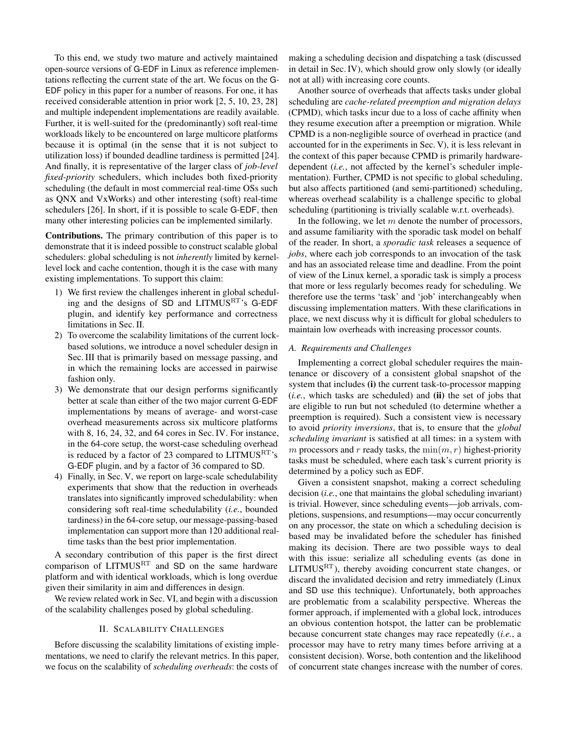To this end, we study two mature and actively maintained open-source versions of G-EDF in Linux as reference implementations reflecting the current state of the art. We focus on the G-EDF policy in this paper for a number of reasons. For one, it has received considerable attention in prior work [\[2,](#page-10-1) [5,](#page-10-2) [10,](#page-10-3) [23,](#page-11-5) [28\]](#page-11-3) and multiple independent implementations are readily available. Further, it is well-suited for the (predominantly) soft real-time workloads likely to be encountered on large multicore platforms because it is optimal (in the sense that it is not subject to utilization loss) if bounded deadline tardiness is permitted [\[24\]](#page-11-0). And finally, it is representative of the larger class of *job-level fixed-priority* schedulers, which includes both fixed-priority scheduling (the default in most commercial real-time OSs such as QNX and VxWorks) and other interesting (soft) real-time schedulers [\[26\]](#page-11-2). In short, if it is possible to scale G-EDF, then many other interesting policies can be implemented similarly.

Contributions. The primary contribution of this paper is to demonstrate that it is indeed possible to construct scalable global schedulers: global scheduling is not *inherently* limited by kernellevel lock and cache contention, though it is the case with many existing implementations. To support this claim:

- 1) We first review the challenges inherent in global scheduling and the designs of SD and LITMUSRT's G-EDF plugin, and identify key performance and correctness limitations in Sec. [II.](#page-1-0)
- 2) To overcome the scalability limitations of the current lockbased solutions, we introduce a novel scheduler design in Sec. [III](#page-4-0) that is primarily based on message passing, and in which the remaining locks are accessed in pairwise fashion only.
- 3) We demonstrate that our design performs significantly better at scale than either of the two major current G-EDF implementations by means of average- and worst-case overhead measurements across six multicore platforms with 8, 16, 24, 32, and 64 cores in Sec. [IV.](#page-6-0) For instance, in the 64-core setup, the worst-case scheduling overhead is reduced by a factor of 23 compared to  $LITMUS<sup>RT</sup>'s$ G-EDF plugin, and by a factor of 36 compared to SD.
- 4) Finally, in Sec. [V,](#page-8-0) we report on large-scale schedulability experiments that show that the reduction in overheads translates into significantly improved schedulability: when considering soft real-time schedulability (*i.e.*, bounded tardiness) in the 64-core setup, our message-passing-based implementation can support more than 120 additional realtime tasks than the best prior implementation.

A secondary contribution of this paper is the first direct comparison of LITMUS<sup>RT</sup> and SD on the same hardware platform and with identical workloads, which is long overdue given their similarity in aim and differences in design.

We review related work in Sec. [VI,](#page-9-0) and begin with a discussion of the scalability challenges posed by global scheduling.

## II. SCALABILITY CHALLENGES

<span id="page-1-0"></span>Before discussing the scalability limitations of existing implementations, we need to clarify the relevant metrics. In this paper, we focus on the scalability of *scheduling overheads*: the costs of

making a scheduling decision and dispatching a task (discussed in detail in Sec. [IV\)](#page-6-0), which should grow only slowly (or ideally not at all) with increasing core counts.

Another source of overheads that affects tasks under global scheduling are *cache-related preemption and migration delays* (CPMD), which tasks incur due to a loss of cache affinity when they resume execution after a preemption or migration. While CPMD is a non-negligible source of overhead in practice (and accounted for in the experiments in Sec. [V\)](#page-8-0), it is less relevant in the context of this paper because CPMD is primarily hardwaredependent (*i.e.*, not affected by the kernel's scheduler implementation). Further, CPMD is not specific to global scheduling, but also affects partitioned (and semi-partitioned) scheduling, whereas overhead scalability is a challenge specific to global scheduling (partitioning is trivially scalable w.r.t. overheads).

In the following, we let  $m$  denote the number of processors, and assume familiarity with the sporadic task model on behalf of the reader. In short, a *sporadic task* releases a sequence of *jobs*, where each job corresponds to an invocation of the task and has an associated release time and deadline. From the point of view of the Linux kernel, a sporadic task is simply a process that more or less regularly becomes ready for scheduling. We therefore use the terms 'task' and 'job' interchangeably when discussing implementation matters. With these clarifications in place, we next discuss why it is difficult for global schedulers to maintain low overheads with increasing processor counts.

## *A. Requirements and Challenges*

Implementing a correct global scheduler requires the maintenance or discovery of a consistent global snapshot of the system that includes (i) the current task-to-processor mapping (*i.e.*, which tasks are scheduled) and (ii) the set of jobs that are eligible to run but not scheduled (to determine whether a preemption is required). Such a consistent view is necessary to avoid *priority inversions*, that is, to ensure that the *global scheduling invariant* is satisfied at all times: in a system with m processors and r ready tasks, the  $min(m, r)$  highest-priority tasks must be scheduled, where each task's current priority is determined by a policy such as EDF.

Given a consistent snapshot, making a correct scheduling decision (*i.e.*, one that maintains the global scheduling invariant) is trivial. However, since scheduling events—job arrivals, completions, suspensions, and resumptions—may occur concurrently on any processor, the state on which a scheduling decision is based may be invalidated before the scheduler has finished making its decision. There are two possible ways to deal with this issue: serialize all scheduling events (as done in  $LITMUS<sup>RT</sup>$ , thereby avoiding concurrent state changes, or discard the invalidated decision and retry immediately (Linux and SD use this technique). Unfortunately, both approaches are problematic from a scalability perspective. Whereas the former approach, if implemented with a global lock, introduces an obvious contention hotspot, the latter can be problematic because concurrent state changes may race repeatedly (*i.e.*, a processor may have to retry many times before arriving at a consistent decision). Worse, both contention and the likelihood of concurrent state changes increase with the number of cores.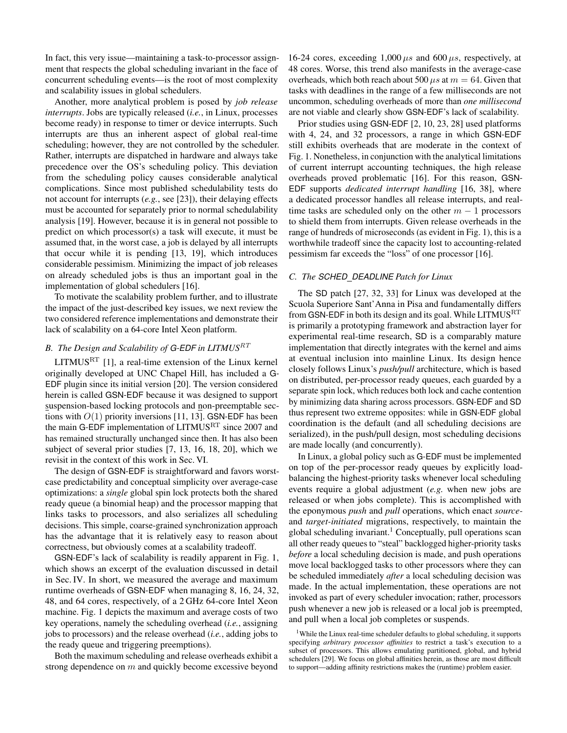In fact, this very issue—maintaining a task-to-processor assignment that respects the global scheduling invariant in the face of concurrent scheduling events—is the root of most complexity and scalability issues in global schedulers.

Another, more analytical problem is posed by *job release interrupts*. Jobs are typically released (*i.e.*, in Linux, processes become ready) in response to timer or device interrupts. Such interrupts are thus an inherent aspect of global real-time scheduling; however, they are not controlled by the scheduler. Rather, interrupts are dispatched in hardware and always take precedence over the OS's scheduling policy. This deviation from the scheduling policy causes considerable analytical complications. Since most published schedulability tests do not account for interrupts (*e.g.*, see [\[23\]](#page-11-5)), their delaying effects must be accounted for separately prior to normal schedulability analysis [\[19\]](#page-10-10). However, because it is in general not possible to predict on which processor(s) a task will execute, it must be assumed that, in the worst case, a job is delayed by all interrupts that occur while it is pending [\[13,](#page-10-5) [19\]](#page-10-10), which introduces considerable pessimism. Minimizing the impact of job releases on already scheduled jobs is thus an important goal in the implementation of global schedulers [\[16\]](#page-10-6).

To motivate the scalability problem further, and to illustrate the impact of the just-described key issues, we next review the two considered reference implementations and demonstrate their lack of scalability on a 64-core Intel Xeon platform.

## *B. The Design and Scalability of G-EDF in LITMUS*<sup>RT</sup>

LITMUS<sup>RT</sup> [\[1\]](#page-10-11), a real-time extension of the Linux kernel originally developed at UNC Chapel Hill, has included a G-EDF plugin since its initial version [\[20\]](#page-10-12). The version considered herein is called GSN-EDF because it was designed to support suspension-based locking protocols and non-preemptable sections with  $O(1)$  priority inversions [\[11,](#page-10-13) [13\]](#page-10-5). GSN-EDF has been the main G-EDF implementation of LITMUS<sup>RT</sup> since 2007 and has remained structurally unchanged since then. It has also been subject of several prior studies [\[7,](#page-10-4) [13,](#page-10-5) [16,](#page-10-6) [18,](#page-10-7) [20\]](#page-10-12), which we revisit in the context of this work in Sec. [VI.](#page-9-0)

The design of GSN-EDF is straightforward and favors worstcase predictability and conceptual simplicity over average-case optimizations: a *single* global spin lock protects both the shared ready queue (a binomial heap) and the processor mapping that links tasks to processors, and also serializes all scheduling decisions. This simple, coarse-grained synchronization approach has the advantage that it is relatively easy to reason about correctness, but obviously comes at a scalability tradeoff.

GSN-EDF's lack of scalability is readily apparent in Fig. [1,](#page-3-0) which shows an excerpt of the evaluation discussed in detail in Sec. [IV.](#page-6-0) In short, we measured the average and maximum runtime overheads of GSN-EDF when managing 8, 16, 24, 32, 48, and 64 cores, respectively, of a 2 GHz 64-core Intel Xeon machine. Fig. [1](#page-3-0) depicts the maximum and average costs of two key operations, namely the scheduling overhead (*i.e.*, assigning jobs to processors) and the release overhead (*i.e.*, adding jobs to the ready queue and triggering preemptions).

Both the maximum scheduling and release overheads exhibit a strong dependence on  $m$  and quickly become excessive beyond

16-24 cores, exceeding  $1,000 \mu s$  and  $600 \mu s$ , respectively, at 48 cores. Worse, this trend also manifests in the average-case overheads, which both reach about 500  $\mu s$  at  $m = 64$ . Given that tasks with deadlines in the range of a few milliseconds are not uncommon, scheduling overheads of more than *one millisecond* are not viable and clearly show GSN-EDF's lack of scalability.

Prior studies using GSN-EDF [\[2,](#page-10-1) [10,](#page-10-3) [23,](#page-11-5) [28\]](#page-11-3) used platforms with 4, 24, and 32 processors, a range in which GSN-EDF still exhibits overheads that are moderate in the context of Fig. [1.](#page-3-0) Nonetheless, in conjunction with the analytical limitations of current interrupt accounting techniques, the high release overheads proved problematic [\[16\]](#page-10-6). For this reason, GSN-EDF supports *dedicated interrupt handling* [\[16,](#page-10-6) [38\]](#page-11-10), where a dedicated processor handles all release interrupts, and realtime tasks are scheduled only on the other  $m - 1$  processors to shield them from interrupts. Given release overheads in the range of hundreds of microseconds (as evident in Fig. [1\)](#page-3-0), this is a worthwhile tradeoff since the capacity lost to accounting-related pessimism far exceeds the "loss" of one processor [\[16\]](#page-10-6).

## *C. The SCHED DEADLINE Patch for Linux*

The SD patch [\[27,](#page-11-6) [32,](#page-11-7) [33\]](#page-11-8) for Linux was developed at the Scuola Superiore Sant'Anna in Pisa and fundamentally differs from GSN-EDF in both its design and its goal. While LITMUS<sup>RT</sup> is primarily a prototyping framework and abstraction layer for experimental real-time research, SD is a comparably mature implementation that directly integrates with the kernel and aims at eventual inclusion into mainline Linux. Its design hence closely follows Linux's *push/pull* architecture, which is based on distributed, per-processor ready queues, each guarded by a separate spin lock, which reduces both lock and cache contention by minimizing data sharing across processors. GSN-EDF and SD thus represent two extreme opposites: while in GSN-EDF global coordination is the default (and all scheduling decisions are serialized), in the push/pull design, most scheduling decisions are made locally (and concurrently).

In Linux, a global policy such as G-EDF must be implemented on top of the per-processor ready queues by explicitly loadbalancing the highest-priority tasks whenever local scheduling events require a global adjustment (*e.g.* when new jobs are released or when jobs complete). This is accomplished with the eponymous *push* and *pull* operations, which enact *source*and *target-initiated* migrations, respectively, to maintain the global scheduling invariant.<sup>[1](#page-2-0)</sup> Conceptually, pull operations scan all other ready queues to "steal" backlogged higher-priority tasks *before* a local scheduling decision is made, and push operations move local backlogged tasks to other processors where they can be scheduled immediately *after* a local scheduling decision was made. In the actual implementation, these operations are not invoked as part of every scheduler invocation; rather, processors push whenever a new job is released or a local job is preempted, and pull when a local job completes or suspends.

<span id="page-2-0"></span><sup>1</sup>While the Linux real-time scheduler defaults to global scheduling, it supports specifying *arbitrary processor affinities* to restrict a task's execution to a subset of processors. This allows emulating partitioned, global, and hybrid schedulers [\[29\]](#page-11-9). We focus on global affinities herein, as those are most difficult to support—adding affinity restrictions makes the (runtime) problem easier.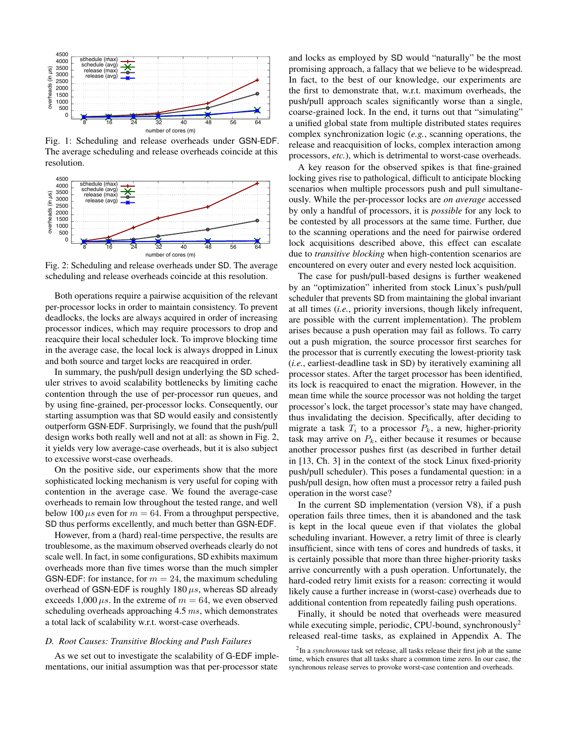<span id="page-3-0"></span>

Fig. 1: Scheduling and release overheads under GSN-EDF. The average scheduling and release overheads coincide at this resolution.

<span id="page-3-1"></span>

Fig. 2: Scheduling and release overheads under SD. The average scheduling and release overheads coincide at this resolution.

Both operations require a pairwise acquisition of the relevant per-processor locks in order to maintain consistency. To prevent deadlocks, the locks are always acquired in order of increasing processor indices, which may require processors to drop and reacquire their local scheduler lock. To improve blocking time in the average case, the local lock is always dropped in Linux and both source and target locks are reacquired in order.

In summary, the push/pull design underlying the SD scheduler strives to avoid scalability bottlenecks by limiting cache contention through the use of per-processor run queues, and by using fine-grained, per-processor locks. Consequently, our starting assumption was that SD would easily and consistently outperform GSN-EDF. Surprisingly, we found that the push/pull design works both really well and not at all: as shown in Fig. 2, it yields very low average-case overheads, but it is also subject to excessive worst-case overheads.

On the positive side, our experiments show that the more sophisticated locking mechanism is very useful for coping with contention in the average case. We found the average-case overheads to remain low throughout the tested range, and well below 100  $\mu s$  even for  $m = 64$ . From a throughput perspective, SD thus performs excellently, and much better than GSN-EDF.

However, from a (hard) real-time perspective, the results are troublesome, as the maximum observed overheads clearly do not scale well. In fact, in some configurations, SD exhibits maximum overheads more than five times worse than the much simpler GSN-EDF: for instance, for  $m = 24$ , the maximum scheduling overhead of GSN-EDF is roughly  $180 \mu s$ , whereas SD already exceeds 1,000  $\mu$ s. In the extreme of  $m = 64$ , we even observed scheduling overheads approaching  $4.5$  ms, which demonstrates a total lack of scalability w.r.t. worst-case overheads.

#### <span id="page-3-3"></span>D. Root Causes: Transitive Blocking and Push Failures

As we set out to investigate the scalability of G-EDF implementations, our initial assumption was that per-processor state

and locks as employed by SD would "naturally" be the most promising approach, a fallacy that we believe to be widespread. In fact, to the best of our knowledge, our experiments are the first to demonstrate that, w.r.t. maximum overheads, the push/pull approach scales significantly worse than a single, coarse-grained lock. In the end, it turns out that "simulating" a unified global state from multiple distributed states requires complex synchronization logic  $(e.g.,$  scanning operations, the release and reacquisition of locks, complex interaction among processors, etc.), which is detrimental to worst-case overheads.

A key reason for the observed spikes is that fine-grained locking gives rise to pathological, difficult to anticipate blocking scenarios when multiple processors push and pull simultaneously. While the per-processor locks are *on average* accessed by only a handful of processors, it is *possible* for any lock to be contested by all processors at the same time. Further, due to the scanning operations and the need for pairwise ordered lock acquisitions described above, this effect can escalate due to *transitive blocking* when high-contention scenarios are encountered on every outer and every nested lock acquisition.

The case for push/pull-based designs is further weakened by an "optimization" inherited from stock Linux's push/pull scheduler that prevents SD from maintaining the global invariant at all times *(i.e., priority inversions, though likely infrequent,* are possible with the current implementation). The problem arises because a push operation may fail as follows. To carry out a push migration, the source processor first searches for the processor that is currently executing the lowest-priority task  $(i.e.,$  earliest-deadline task in SD) by iteratively examining all processor states. After the target processor has been identified, its lock is reacquired to enact the migration. However, in the mean time while the source processor was not holding the target processor's lock, the target processor's state may have changed, thus invalidating the decision. Specifically, after deciding to migrate a task  $T_i$  to a processor  $P_k$ , a new, higher-priority task may arrive on  $P_k$ , either because it resumes or because another processor pushes first (as described in further detail in [13, Ch. 3] in the context of the stock Linux fixed-priority push/pull scheduler). This poses a fundamental question: in a push/pull design, how often must a processor retry a failed push operation in the worst case?

In the current SD implementation (version V8), if a push operation fails three times, then it is abandoned and the task is kept in the local queue even if that violates the global scheduling invariant. However, a retry limit of three is clearly insufficient, since with tens of cores and hundreds of tasks, it is certainly possible that more than three higher-priority tasks arrive concurrently with a push operation. Unfortunately, the hard-coded retry limit exists for a reason: correcting it would likely cause a further increase in (worst-case) overheads due to additional contention from repeatedly failing push operations.

Finally, it should be noted that overheads were measured while executing simple, periodic, CPU-bound, synchronously<sup>2</sup> released real-time tasks, as explained in Appendix A. The

<span id="page-3-2"></span> $2$ In a *synchronous* task set release, all tasks release their first job at the same time, which ensures that all tasks share a common time zero. In our case, the synchronous release serves to provoke worst-case contention and overheads.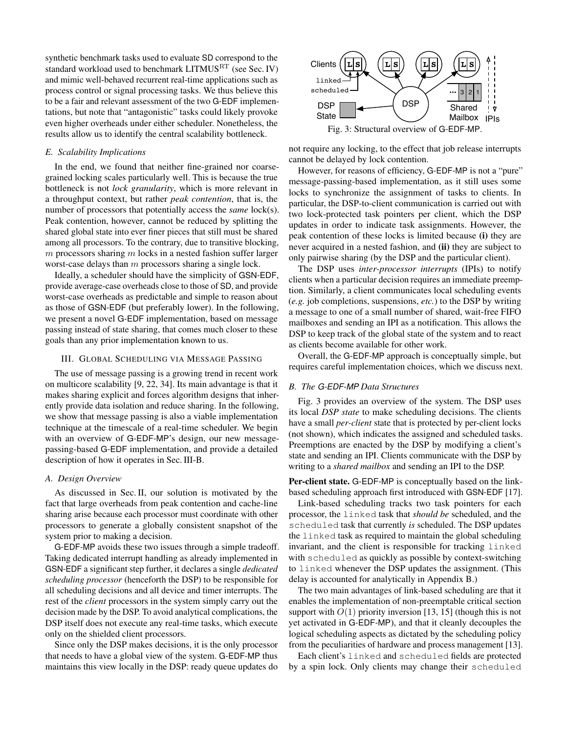synthetic benchmark tasks used to evaluate SD correspond to the standard workload used to benchmark  $LITMUS<sup>RT</sup>$  (see Sec. [IV\)](#page-6-0) and mimic well-behaved recurrent real-time applications such as process control or signal processing tasks. We thus believe this to be a fair and relevant assessment of the two G-EDF implementations, but note that "antagonistic" tasks could likely provoke even higher overheads under either scheduler. Nonetheless, the results allow us to identify the central scalability bottleneck.

## *E. Scalability Implications*

In the end, we found that neither fine-grained nor coarsegrained locking scales particularly well. This is because the true bottleneck is not *lock granularity*, which is more relevant in a throughput context, but rather *peak contention*, that is, the number of processors that potentially access the *same* lock(s). Peak contention, however, cannot be reduced by splitting the shared global state into ever finer pieces that still must be shared among all processors. To the contrary, due to transitive blocking,  $m$  processors sharing  $m$  locks in a nested fashion suffer larger worst-case delays than  $m$  processors sharing a single lock.

Ideally, a scheduler should have the simplicity of GSN-EDF, provide average-case overheads close to those of SD, and provide worst-case overheads as predictable and simple to reason about as those of GSN-EDF (but preferably lower). In the following, we present a novel G-EDF implementation, based on message passing instead of state sharing, that comes much closer to these goals than any prior implementation known to us.

#### <span id="page-4-0"></span>III. GLOBAL SCHEDULING VIA MESSAGE PASSING

The use of message passing is a growing trend in recent work on multicore scalability [\[9,](#page-10-14) [22,](#page-10-15) [34\]](#page-11-12). Its main advantage is that it makes sharing explicit and forces algorithm designs that inherently provide data isolation and reduce sharing. In the following, we show that message passing is also a viable implementation technique at the timescale of a real-time scheduler. We begin with an overview of G-EDF-MP's design, our new messagepassing-based G-EDF implementation, and provide a detailed description of how it operates in Sec. [III-B.](#page-4-1)

## *A. Design Overview*

As discussed in Sec. [II,](#page-1-0) our solution is motivated by the fact that large overheads from peak contention and cache-line sharing arise because each processor must coordinate with other processors to generate a globally consistent snapshot of the system prior to making a decision.

G-EDF-MP avoids these two issues through a simple tradeoff. Taking dedicated interrupt handling as already implemented in GSN-EDF a significant step further, it declares a single *dedicated scheduling processor* (henceforth the DSP) to be responsible for all scheduling decisions and all device and timer interrupts. The rest of the *client* processors in the system simply carry out the decision made by the DSP. To avoid analytical complications, the DSP itself does not execute any real-time tasks, which execute only on the shielded client processors.

Since only the DSP makes decisions, it is the only processor that needs to have a global view of the system. G-EDF-MP thus maintains this view locally in the DSP: ready queue updates do

<span id="page-4-2"></span>

not require any locking, to the effect that job release interrupts cannot be delayed by lock contention.

However, for reasons of efficiency, G-EDF-MP is not a "pure" message-passing-based implementation, as it still uses some locks to synchronize the assignment of tasks to clients. In particular, the DSP-to-client communication is carried out with two lock-protected task pointers per client, which the DSP updates in order to indicate task assignments. However, the peak contention of these locks is limited because (i) they are never acquired in a nested fashion, and (ii) they are subject to only pairwise sharing (by the DSP and the particular client).

The DSP uses *inter-processor interrupts* (IPIs) to notify clients when a particular decision requires an immediate preemption. Similarly, a client communicates local scheduling events (*e.g.* job completions, suspensions, *etc.*) to the DSP by writing a message to one of a small number of shared, wait-free FIFO mailboxes and sending an IPI as a notification. This allows the DSP to keep track of the global state of the system and to react as clients become available for other work.

Overall, the G-EDF-MP approach is conceptually simple, but requires careful implementation choices, which we discuss next.

## <span id="page-4-1"></span>*B. The G-EDF-MP Data Structures*

Fig. [3](#page-4-2) provides an overview of the system. The DSP uses its local *DSP state* to make scheduling decisions. The clients have a small *per-client* state that is protected by per-client locks (not shown), which indicates the assigned and scheduled tasks. Preemptions are enacted by the DSP by modifying a client's state and sending an IPI. Clients communicate with the DSP by writing to a *shared mailbox* and sending an IPI to the DSP.

Per-client state. G-EDF-MP is conceptually based on the linkbased scheduling approach first introduced with GSN-EDF [\[17\]](#page-10-8).

Link-based scheduling tracks two task pointers for each processor, the linked task that *should be* scheduled, and the scheduled task that currently *is* scheduled. The DSP updates the linked task as required to maintain the global scheduling invariant, and the client is responsible for tracking linked with scheduled as quickly as possible by context-switching to linked whenever the DSP updates the assignment. (This delay is accounted for analytically in Appendix [B.](#page-11-13))

The two main advantages of link-based scheduling are that it enables the implementation of non-preemptable critical section support with  $O(1)$  priority inversion [\[13,](#page-10-5) [15\]](#page-10-16) (though this is not yet activated in G-EDF-MP), and that it cleanly decouples the logical scheduling aspects as dictated by the scheduling policy from the peculiarities of hardware and process management [\[13\]](#page-10-5).

Each client's linked and scheduled fields are protected by a spin lock. Only clients may change their scheduled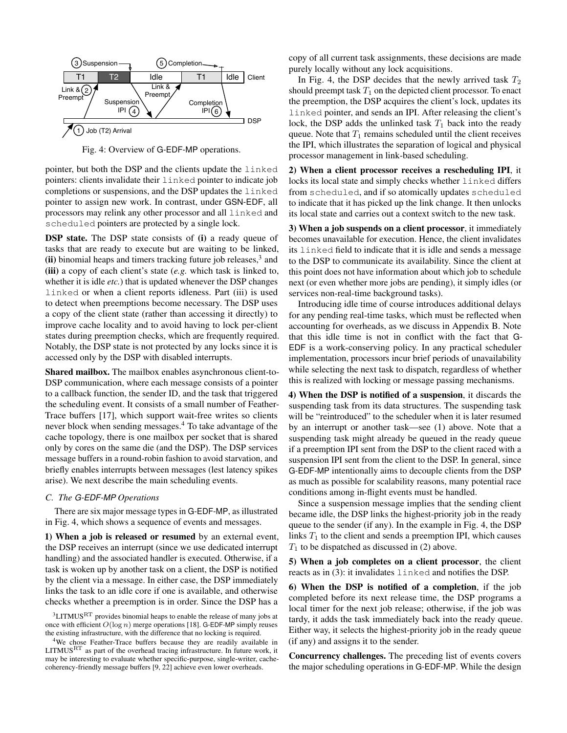<span id="page-5-2"></span>

Fig. 4: Overview of G-EDF-MP operations.

pointer, but both the DSP and the clients update the linked pointers: clients invalidate their linked pointer to indicate job completions or suspensions, and the DSP updates the linked pointer to assign new work. In contrast, under GSN-EDF, all processors may relink any other processor and all linked and scheduled pointers are protected by a single lock.

DSP state. The DSP state consists of (i) a ready queue of tasks that are ready to execute but are waiting to be linked, (ii) binomial heaps and timers tracking future job releases,<sup>[3](#page-5-0)</sup> and (iii) a copy of each client's state (*e.g.* which task is linked to, whether it is idle *etc.*) that is updated whenever the DSP changes linked or when a client reports idleness. Part (iii) is used to detect when preemptions become necessary. The DSP uses a copy of the client state (rather than accessing it directly) to improve cache locality and to avoid having to lock per-client states during preemption checks, which are frequently required. Notably, the DSP state is not protected by any locks since it is accessed only by the DSP with disabled interrupts.

Shared mailbox. The mailbox enables asynchronous client-to-DSP communication, where each message consists of a pointer to a callback function, the sender ID, and the task that triggered the scheduling event. It consists of a small number of Feather-Trace buffers [\[17\]](#page-10-8), which support wait-free writes so clients never block when sending messages.[4](#page-5-1) To take advantage of the cache topology, there is one mailbox per socket that is shared only by cores on the same die (and the DSP). The DSP services message buffers in a round-robin fashion to avoid starvation, and briefly enables interrupts between messages (lest latency spikes arise). We next describe the main scheduling events.

## *C. The G-EDF-MP Operations*

There are six major message types in G-EDF-MP, as illustrated in Fig. [4,](#page-5-2) which shows a sequence of events and messages.

1) When a job is released or resumed by an external event, the DSP receives an interrupt (since we use dedicated interrupt handling) and the associated handler is executed. Otherwise, if a task is woken up by another task on a client, the DSP is notified by the client via a message. In either case, the DSP immediately links the task to an idle core if one is available, and otherwise checks whether a preemption is in order. Since the DSP has a

<span id="page-5-0"></span> ${}^{3}$ LITMUS ${}^{RT}$  provides binomial heaps to enable the release of many jobs at once with efficient  $O(\log n)$  merge operations [\[18\]](#page-10-7). G-EDF-MP simply reuses the existing infrastructure, with the difference that no locking is required.

<span id="page-5-1"></span><sup>4</sup>We chose Feather-Trace buffers because they are readily available in LITMUSRT as part of the overhead tracing infrastructure. In future work, it may be interesting to evaluate whether specific-purpose, single-writer, cachecoherency-friendly message buffers [\[9,](#page-10-14) [22\]](#page-10-15) achieve even lower overheads.

copy of all current task assignments, these decisions are made purely locally without any lock acquisitions.

In Fig. [4,](#page-5-2) the DSP decides that the newly arrived task  $T_2$ should preempt task  $T_1$  on the depicted client processor. To enact the preemption, the DSP acquires the client's lock, updates its linked pointer, and sends an IPI. After releasing the client's lock, the DSP adds the unlinked task  $T_1$  back into the ready queue. Note that  $T_1$  remains scheduled until the client receives the IPI, which illustrates the separation of logical and physical processor management in link-based scheduling.

2) When a client processor receives a rescheduling IPI, it locks its local state and simply checks whether linked differs from scheduled, and if so atomically updates scheduled to indicate that it has picked up the link change. It then unlocks its local state and carries out a context switch to the new task.

3) When a job suspends on a client processor, it immediately becomes unavailable for execution. Hence, the client invalidates its linked field to indicate that it is idle and sends a message to the DSP to communicate its availability. Since the client at this point does not have information about which job to schedule next (or even whether more jobs are pending), it simply idles (or services non-real-time background tasks).

Introducing idle time of course introduces additional delays for any pending real-time tasks, which must be reflected when accounting for overheads, as we discuss in Appendix [B.](#page-11-13) Note that this idle time is not in conflict with the fact that G-EDF is a work-conserving policy. In any practical scheduler implementation, processors incur brief periods of unavailability while selecting the next task to dispatch, regardless of whether this is realized with locking or message passing mechanisms.

4) When the DSP is notified of a suspension, it discards the suspending task from its data structures. The suspending task will be "reintroduced" to the scheduler when it is later resumed by an interrupt or another task—see (1) above. Note that a suspending task might already be queued in the ready queue if a preemption IPI sent from the DSP to the client raced with a suspension IPI sent from the client to the DSP. In general, since G-EDF-MP intentionally aims to decouple clients from the DSP as much as possible for scalability reasons, many potential race conditions among in-flight events must be handled.

Since a suspension message implies that the sending client became idle, the DSP links the highest-priority job in the ready queue to the sender (if any). In the example in Fig. [4,](#page-5-2) the DSP links  $T_1$  to the client and sends a preemption IPI, which causes  $T_1$  to be dispatched as discussed in (2) above.

5) When a job completes on a client processor, the client reacts as in (3): it invalidates linked and notifies the DSP.

6) When the DSP is notified of a completion, if the job completed before its next release time, the DSP programs a local timer for the next job release; otherwise, if the job was tardy, it adds the task immediately back into the ready queue. Either way, it selects the highest-priority job in the ready queue (if any) and assigns it to the sender.

Concurrency challenges. The preceding list of events covers the major scheduling operations in G-EDF-MP. While the design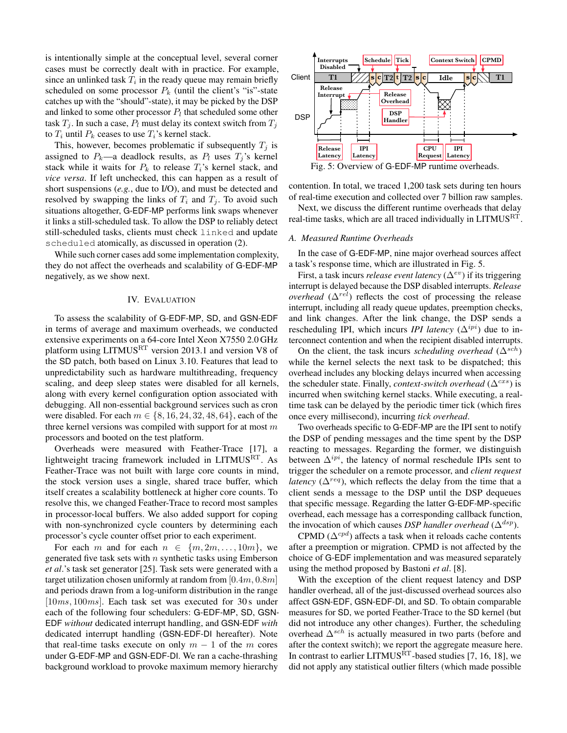is intentionally simple at the conceptual level, several corner cases must be correctly dealt with in practice. For example, since an unlinked task  $T_i$  in the ready queue may remain briefly scheduled on some processor  $P_k$  (until the client's "is"-state catches up with the "should"-state), it may be picked by the DSP and linked to some other processor  $P_l$  that scheduled some other task  $T_i$ . In such a case,  $P_l$  must delay its context switch from  $T_i$ to  $T_i$  until  $P_k$  ceases to use  $T_i$ 's kernel stack.

This, however, becomes problematic if subsequently  $T_i$  is assigned to  $P_k$ —a deadlock results, as  $P_l$  uses  $T_j$ 's kernel stack while it waits for  $P_k$  to release  $T_i$ 's kernel stack, and *vice versa*. If left unchecked, this can happen as a result of short suspensions (*e.g.*, due to I/O), and must be detected and resolved by swapping the links of  $T_i$  and  $T_j$ . To avoid such situations altogether, G-EDF-MP performs link swaps whenever it links a still-scheduled task. To allow the DSP to reliably detect still-scheduled tasks, clients must check linked and update scheduled atomically, as discussed in operation (2).

While such corner cases add some implementation complexity, they do not affect the overheads and scalability of G-EDF-MP negatively, as we show next.

#### IV. EVALUATION

<span id="page-6-0"></span>To assess the scalability of G-EDF-MP, SD, and GSN-EDF in terms of average and maximum overheads, we conducted extensive experiments on a 64-core Intel Xeon X7550 2.0 GHz platform using  $LITMUS<sup>RT</sup>$  version 2013.1 and version V8 of the SD patch, both based on Linux 3.10. Features that lead to unpredictability such as hardware multithreading, frequency scaling, and deep sleep states were disabled for all kernels, along with every kernel configuration option associated with debugging. All non-essential background services such as cron were disabled. For each  $m \in \{8, 16, 24, 32, 48, 64\}$ , each of the three kernel versions was compiled with support for at most  $m$ processors and booted on the test platform.

Overheads were measured with Feather-Trace [\[17\]](#page-10-8), a lightweight tracing framework included in  $LITMUS<sup>RT</sup>$ . As Feather-Trace was not built with large core counts in mind, the stock version uses a single, shared trace buffer, which itself creates a scalability bottleneck at higher core counts. To resolve this, we changed Feather-Trace to record most samples in processor-local buffers. We also added support for coping with non-synchronized cycle counters by determining each processor's cycle counter offset prior to each experiment.

For each m and for each  $n \in \{m, 2m, \ldots, 10m\}$ , we generated five task sets with  $n$  synthetic tasks using Emberson *et al*.'s task set generator [\[25\]](#page-11-14). Task sets were generated with a target utilization chosen uniformly at random from  $[0.4m, 0.8m]$ and periods drawn from a log-uniform distribution in the range [ $10ms, 100ms$ ]. Each task set was executed for 30 s under each of the following four schedulers: G-EDF-MP, SD, GSN-EDF *without* dedicated interrupt handling, and GSN-EDF *with* dedicated interrupt handling (GSN-EDF-DI hereafter). Note that real-time tasks execute on only  $m - 1$  of the m cores under G-EDF-MP and GSN-EDF-DI. We ran a cache-thrashing background workload to provoke maximum memory hierarchy

<span id="page-6-1"></span>

Fig. 5: Overview of G-EDF-MP runtime overheads.

contention. In total, we traced 1,200 task sets during ten hours of real-time execution and collected over 7 billion raw samples.

Next, we discuss the different runtime overheads that delay real-time tasks, which are all traced individually in LITMUSRT.

#### *A. Measured Runtime Overheads*

In the case of G-EDF-MP, nine major overhead sources affect a task's response time, which are illustrated in Fig. [5.](#page-6-1)

First, a task incurs *release event latency* (∆ev) if its triggering interrupt is delayed because the DSP disabled interrupts. *Release overhead* ( $\Delta^{rel}$ ) reflects the cost of processing the release interrupt, including all ready queue updates, preemption checks, and link changes. After the link change, the DSP sends a rescheduling IPI, which incurs *IPI latency* ( $\Delta^{ipi}$ ) due to interconnect contention and when the recipient disabled interrupts.

On the client, the task incurs *scheduling overhead* ( $\Delta^{sch}$ ) while the kernel selects the next task to be dispatched; this overhead includes any blocking delays incurred when accessing the scheduler state. Finally, *context-switch overhead* ( $\Delta^{cxs}$ ) is incurred when switching kernel stacks. While executing, a realtime task can be delayed by the periodic timer tick (which fires once every millisecond), incurring *tick overhead*.

Two overheads specific to G-EDF-MP are the IPI sent to notify the DSP of pending messages and the time spent by the DSP reacting to messages. Regarding the former, we distinguish between  $\Delta^{ipi}$ , the latency of normal reschedule IPIs sent to trigger the scheduler on a remote processor, and *client request latency* ( $\Delta^{req}$ ), which reflects the delay from the time that a client sends a message to the DSP until the DSP dequeues that specific message. Regarding the latter G-EDF-MP-specific overhead, each message has a corresponding callback function, the invocation of which causes *DSP handler overhead* ( $\Delta^{dsp}$ ).

CPMD ( $\Delta^{cpd}$ ) affects a task when it reloads cache contents after a preemption or migration. CPMD is not affected by the choice of G-EDF implementation and was measured separately using the method proposed by Bastoni *et al*. [\[8\]](#page-10-17).

With the exception of the client request latency and DSP handler overhead, all of the just-discussed overhead sources also affect GSN-EDF, GSN-EDF-DI, and SD. To obtain comparable measures for SD, we ported Feather-Trace to the SD kernel (but did not introduce any other changes). Further, the scheduling overhead  $\Delta^{sch}$  is actually measured in two parts (before and after the context switch); we report the aggregate measure here. In contrast to earlier LITMUS<sup>RT</sup>-based studies [\[7,](#page-10-4) [16,](#page-10-6) [18\]](#page-10-7), we did not apply any statistical outlier filters (which made possible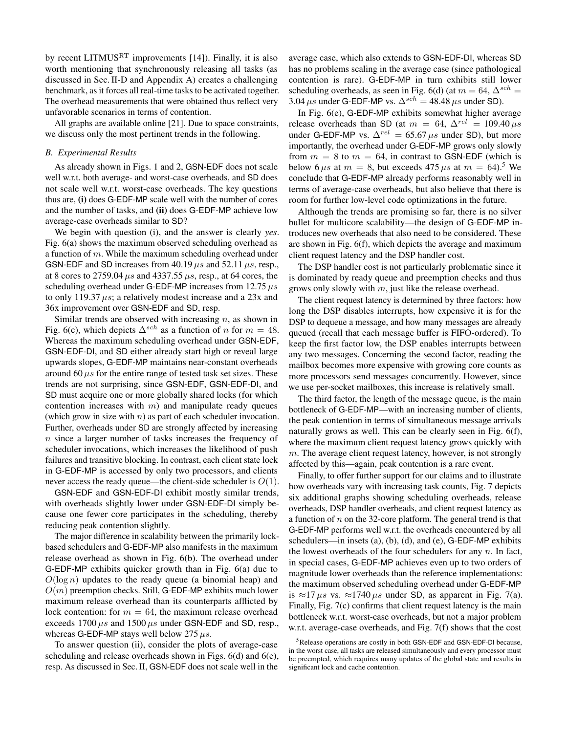by recent LITMUS<sup>RT</sup> improvements [\[14\]](#page-10-18)). Finally, it is also worth mentioning that synchronously releasing all tasks (as discussed in Sec.[II-D](#page-3-3) and Appendix [A\)](#page-11-11) creates a challenging benchmark, as it forces all real-time tasks to be activated together. The overhead measurements that were obtained thus reflect very unfavorable scenarios in terms of contention.

All graphs are available online [\[21\]](#page-10-19). Due to space constraints, we discuss only the most pertinent trends in the following.

#### *B. Experimental Results*

As already shown in Figs. [1](#page-3-0) and [2,](#page-3-1) GSN-EDF does not scale well w.r.t. both average- and worst-case overheads, and SD does not scale well w.r.t. worst-case overheads. The key questions thus are, (i) does G-EDF-MP scale well with the number of cores and the number of tasks, and (ii) does G-EDF-MP achieve low average-case overheads similar to SD?

We begin with question (i), and the answer is clearly *yes*. Fig. [6\(a\)](#page-8-1) shows the maximum observed scheduling overhead as a function of m. While the maximum scheduling overhead under GSN-EDF and SD increases from 40.19  $\mu s$  and 52.11  $\mu s$ , resp., at 8 cores to 2759.04  $\mu$ s and 4337.55  $\mu$ s, resp., at 64 cores, the scheduling overhead under G-EDF-MP increases from 12.75  $\mu s$ to only 119.37  $\mu s$ ; a relatively modest increase and a 23x and 36x improvement over GSN-EDF and SD, resp.

Similar trends are observed with increasing  $n$ , as shown in Fig. [6\(c\),](#page-8-2) which depicts  $\Delta^{sch}$  as a function of n for  $m = 48$ . Whereas the maximum scheduling overhead under GSN-EDF, GSN-EDF-DI, and SD either already start high or reveal large upwards slopes, G-EDF-MP maintains near-constant overheads around 60  $\mu$ s for the entire range of tested task set sizes. These trends are not surprising, since GSN-EDF, GSN-EDF-DI, and SD must acquire one or more globally shared locks (for which contention increases with  $m$ ) and manipulate ready queues (which grow in size with  $n$ ) as part of each scheduler invocation. Further, overheads under SD are strongly affected by increasing n since a larger number of tasks increases the frequency of scheduler invocations, which increases the likelihood of push failures and transitive blocking. In contrast, each client state lock in G-EDF-MP is accessed by only two processors, and clients never access the ready queue—the client-side scheduler is  $O(1)$ .

GSN-EDF and GSN-EDF-DI exhibit mostly similar trends, with overheads slightly lower under GSN-EDF-DI simply because one fewer core participates in the scheduling, thereby reducing peak contention slightly.

The major difference in scalability between the primarily lockbased schedulers and G-EDF-MP also manifests in the maximum release overhead as shown in Fig. [6\(b\).](#page-8-3) The overhead under G-EDF-MP exhibits quicker growth than in Fig. [6\(a\)](#page-8-1) due to  $O(\log n)$  updates to the ready queue (a binomial heap) and  $O(m)$  preemption checks. Still, G-EDF-MP exhibits much lower maximum release overhead than its counterparts afflicted by lock contention: for  $m = 64$ , the maximum release overhead exceeds  $1700 \mu s$  and  $1500 \mu s$  under GSN-EDF and SD, resp., whereas G-EDF-MP stays well below 275  $\mu s$ .

To answer question (ii), consider the plots of average-case scheduling and release overheads shown in Figs. [6\(d\)](#page-8-4) and [6\(e\),](#page-8-5) resp. As discussed in Sec. [II,](#page-1-0) GSN-EDF does not scale well in the

average case, which also extends to GSN-EDF-DI, whereas SD has no problems scaling in the average case (since pathological contention is rare). G-EDF-MP in turn exhibits still lower scheduling overheads, as seen in Fig. [6\(d\)](#page-8-4) (at  $m = 64$ ,  $\Delta^{sch} =$ 3.04  $\mu s$  under G-EDF-MP vs.  $\Delta^{sch} = 48.48 \,\mu s$  under SD).

In Fig. [6\(e\),](#page-8-5) G-EDF-MP exhibits somewhat higher average release overheads than SD (at  $m = 64$ ,  $\Delta^{rel} = 109.40 \,\mu s$ under G-EDF-MP vs.  $\Delta^{rel} = 65.67 \,\mu s$  under SD), but more importantly, the overhead under G-EDF-MP grows only slowly from  $m = 8$  to  $m = 64$ , in contrast to GSN-EDF (which is below 6  $\mu s$  at  $m = 8$ , but exceeds 47[5](#page-7-0)  $\mu s$  at  $m = 64$ .<sup>5</sup> We conclude that G-EDF-MP already performs reasonably well in terms of average-case overheads, but also believe that there is room for further low-level code optimizations in the future.

Although the trends are promising so far, there is no silver bullet for multicore scalability—the design of G-EDF-MP introduces new overheads that also need to be considered. These are shown in Fig. [6\(f\),](#page-8-6) which depicts the average and maximum client request latency and the DSP handler cost.

The DSP handler cost is not particularly problematic since it is dominated by ready queue and preemption checks and thus grows only slowly with m, just like the release overhead.

The client request latency is determined by three factors: how long the DSP disables interrupts, how expensive it is for the DSP to dequeue a message, and how many messages are already queued (recall that each message buffer is FIFO-ordered). To keep the first factor low, the DSP enables interrupts between any two messages. Concerning the second factor, reading the mailbox becomes more expensive with growing core counts as more processors send messages concurrently. However, since we use per-socket mailboxes, this increase is relatively small.

The third factor, the length of the message queue, is the main bottleneck of G-EDF-MP—with an increasing number of clients, the peak contention in terms of simultaneous message arrivals naturally grows as well. This can be clearly seen in Fig. [6\(f\),](#page-8-6) where the maximum client request latency grows quickly with  $m$ . The average client request latency, however, is not strongly affected by this—again, peak contention is a rare event.

Finally, to offer further support for our claims and to illustrate how overheads vary with increasing task counts, Fig. [7](#page-8-7) depicts six additional graphs showing scheduling overheads, release overheads, DSP handler overheads, and client request latency as a function of  $n$  on the 32-core platform. The general trend is that G-EDF-MP performs well w.r.t. the overheads encountered by all schedulers—in insets (a), (b), (d), and (e), G-EDF-MP exhibits the lowest overheads of the four schedulers for any  $n$ . In fact, in special cases, G-EDF-MP achieves even up to two orders of magnitude lower overheads than the reference implementations: the maximum observed scheduling overhead under G-EDF-MP is  $\approx$ 17  $\mu$ s vs.  $\approx$ 1740  $\mu$ s under SD, as apparent in Fig. [7\(a\).](#page-8-8) Finally, Fig. [7\(c\)](#page-8-9) confirms that client request latency is the main bottleneck w.r.t. worst-case overheads, but not a major problem w.r.t. average-case overheads, and Fig. [7\(f\)](#page-8-10) shows that the cost

<span id="page-7-0"></span><sup>5</sup>Release operations are costly in both GSN-EDF and GSN-EDF-DI because, in the worst case, all tasks are released simultaneously and every processor must be preempted, which requires many updates of the global state and results in significant lock and cache contention.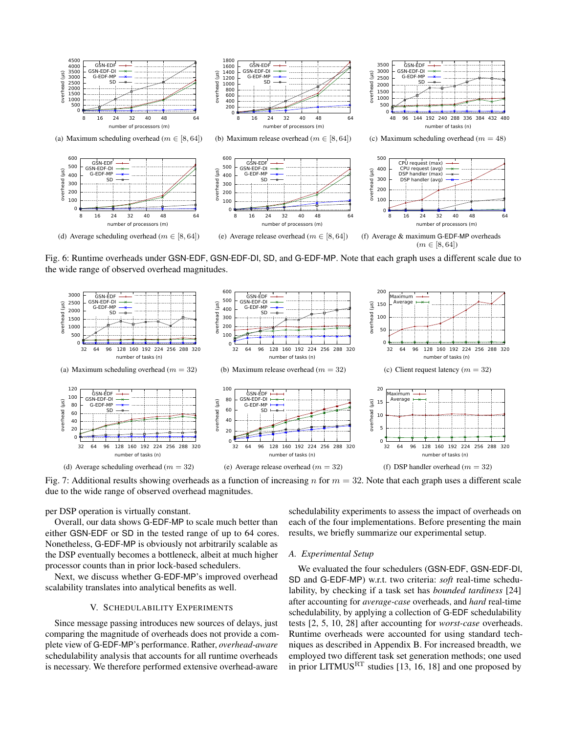<span id="page-8-3"></span><span id="page-8-2"></span><span id="page-8-1"></span>

<span id="page-8-5"></span><span id="page-8-4"></span>Fig. 6: Runtime overheads under GSN-EDF, GSN-EDF-DI, SD, and G-EDF-MP. Note that each graph uses a different scale due to the wide range of observed overhead magnitudes.

<span id="page-8-8"></span><span id="page-8-7"></span>

Fig. 7: Additional results showing overheads as a function of increasing n for  $m = 32$ . Note that each graph uses a different scale due to the wide range of observed overhead magnitudes.

per DSP operation is virtually constant.

Overall, our data shows G-EDF-MP to scale much better than either GSN-EDF or SD in the tested range of up to 64 cores. Nonetheless, G-EDF-MP is obviously not arbitrarily scalable as the DSP eventually becomes a bottleneck, albeit at much higher processor counts than in prior lock-based schedulers.

Next, we discuss whether G-EDF-MP's improved overhead scalability translates into analytical benefits as well.

#### V. SCHEDULABILITY EXPERIMENTS

<span id="page-8-0"></span>Since message passing introduces new sources of delays, just comparing the magnitude of overheads does not provide a complete view of G-EDF-MP's performance. Rather, *overhead-aware* schedulability analysis that accounts for all runtime overheads is necessary. We therefore performed extensive overhead-aware

<span id="page-8-10"></span><span id="page-8-9"></span><span id="page-8-6"></span>schedulability experiments to assess the impact of overheads on each of the four implementations. Before presenting the main results, we briefly summarize our experimental setup.

#### *A. Experimental Setup*

We evaluated the four schedulers (GSN-EDF, GSN-EDF-DI, SD and G-EDF-MP) w.r.t. two criteria: *soft* real-time schedulability, by checking if a task set has *bounded tardiness* [\[24\]](#page-11-0) after accounting for *average-case* overheads, and *hard* real-time schedulability, by applying a collection of G-EDF schedulability tests [\[2,](#page-10-1) [5,](#page-10-2) [10,](#page-10-3) [28\]](#page-11-3) after accounting for *worst-case* overheads. Runtime overheads were accounted for using standard techniques as described in Appendix [B.](#page-11-13) For increased breadth, we employed two different task set generation methods; one used in prior LITMUSRT studies [\[13,](#page-10-5) [16,](#page-10-6) [18\]](#page-10-7) and one proposed by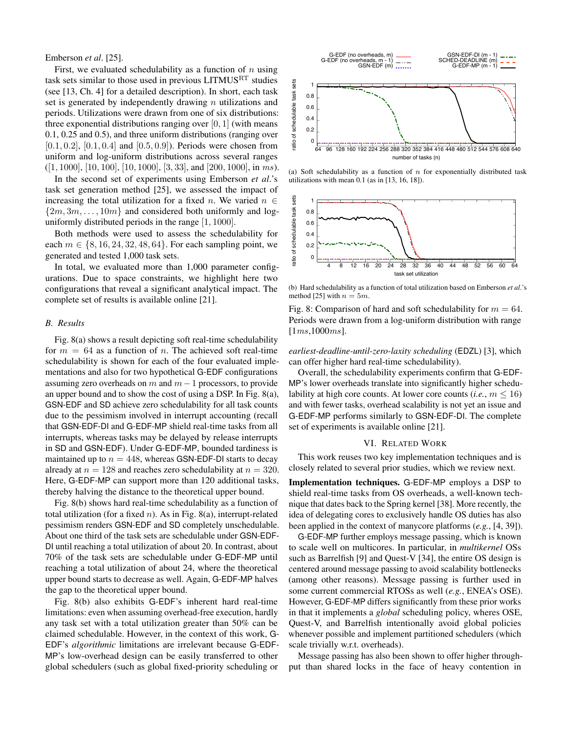Emberson et al. [25].

First, we evaluated schedulability as a function of  $n$  using task sets similar to those used in previous LITMUS<sup>RT</sup> studies (see [13, Ch. 4] for a detailed description). In short, each task set is generated by independently drawing  $n$  utilizations and periods. Utilizations were drawn from one of six distributions: three exponential distributions ranging over  $[0, 1]$  (with means  $0.1, 0.25$  and  $0.5$ ), and three uniform distributions (ranging over  $[0.1, 0.2]$ ,  $[0.1, 0.4]$  and  $[0.5, 0.9]$ ). Periods were chosen from uniform and log-uniform distributions across several ranges  $([1, 1000], [10, 100], [10, 1000], [3, 33],$  and  $[200, 1000],$  in ms).

In the second set of experiments using Emberson et al.'s task set generation method [25], we assessed the impact of increasing the total utilization for a fixed n. We varied  $n \in$  $\{2m, 3m, \ldots, 10m\}$  and considered both uniformly and loguniformly distributed periods in the range  $[1, 1000]$ .

Both methods were used to assess the schedulability for each  $m \in \{8, 16, 24, 32, 48, 64\}$ . For each sampling point, we generated and tested 1,000 task sets.

In total, we evaluated more than 1,000 parameter configurations. Due to space constraints, we highlight here two configurations that reveal a significant analytical impact. The complete set of results is available online [21].

### **B.** Results

Fig. 8(a) shows a result depicting soft real-time schedulability for  $m = 64$  as a function of *n*. The achieved soft real-time schedulability is shown for each of the four evaluated implementations and also for two hypothetical G-EDF configurations assuming zero overheads on m and  $m-1$  processors, to provide an upper bound and to show the cost of using a DSP. In Fig. 8(a), GSN-EDF and SD achieve zero schedulability for all task counts due to the pessimism involved in interrupt accounting (recall that GSN-EDF-DI and G-EDF-MP shield real-time tasks from all interrupts, whereas tasks may be delayed by release interrupts in SD and GSN-EDF). Under G-EDF-MP, bounded tardiness is maintained up to  $n = 448$ , whereas GSN-EDF-DI starts to decay already at  $n = 128$  and reaches zero schedulability at  $n = 320$ . Here, G-EDF-MP can support more than 120 additional tasks, thereby halving the distance to the theoretical upper bound.

Fig. 8(b) shows hard real-time schedulability as a function of total utilization (for a fixed  $n$ ). As in Fig. 8(a), interrupt-related pessimism renders GSN-EDF and SD completely unschedulable. About one third of the task sets are schedulable under GSN-EDF-DI until reaching a total utilization of about 20. In contrast, about 70% of the task sets are schedulable under G-EDF-MP until reaching a total utilization of about 24, where the theoretical upper bound starts to decrease as well. Again, G-EDF-MP halves the gap to the theoretical upper bound.

Fig. 8(b) also exhibits G-EDF's inherent hard real-time limitations: even when assuming overhead-free execution, hardly any task set with a total utilization greater than 50% can be claimed schedulable. However, in the context of this work, G-EDF's algorithmic limitations are irrelevant because G-EDF-MP's low-overhead design can be easily transferred to other global schedulers (such as global fixed-priority scheduling or

<span id="page-9-3"></span>

<span id="page-9-1"></span>(a) Soft schedulability as a function of  $n$  for exponentially distributed task utilizations with mean  $0.1$  (as in [13, 16, 18]).



<span id="page-9-2"></span>(b) Hard schedulability as a function of total utilization based on Emberson et al.'s method [25] with  $n = 5m$ .

Fig. 8: Comparison of hard and soft schedulability for  $m = 64$ . Periods were drawn from a log-uniform distribution with range  $[1ms, 1000ms]$ .

earliest-deadline-until-zero-laxity scheduling (EDZL) [3], which can offer higher hard real-time schedulability).

Overall, the schedulability experiments confirm that G-EDF-MP's lower overheads translate into significantly higher schedulability at high core counts. At lower core counts (*i.e.*,  $m \le 16$ ) and with fewer tasks, overhead scalability is not yet an issue and G-EDF-MP performs similarly to GSN-EDF-DI. The complete set of experiments is available online [21].

## VI. RELATED WORK

<span id="page-9-0"></span>This work reuses two key implementation techniques and is closely related to several prior studies, which we review next.

Implementation techniques. G-EDF-MP employs a DSP to shield real-time tasks from OS overheads, a well-known technique that dates back to the Spring kernel [38]. More recently, the idea of delegating cores to exclusively handle OS duties has also been applied in the context of manycore platforms  $(e.g., [4, 39])$ .

G-EDF-MP further employs message passing, which is known to scale well on multicores. In particular, in *multikernel* OSs such as Barrelfish [9] and Quest-V [34], the entire OS design is centered around message passing to avoid scalability bottlenecks (among other reasons). Message passing is further used in some current commercial RTOSs as well (e.g., ENEA's OSE). However, G-EDF-MP differs significantly from these prior works in that it implements a *global* scheduling policy, wheres OSE, Quest-V, and Barrelfish intentionally avoid global policies whenever possible and implement partitioned schedulers (which scale trivially w.r.t. overheads).

Message passing has also been shown to offer higher throughput than shared locks in the face of heavy contention in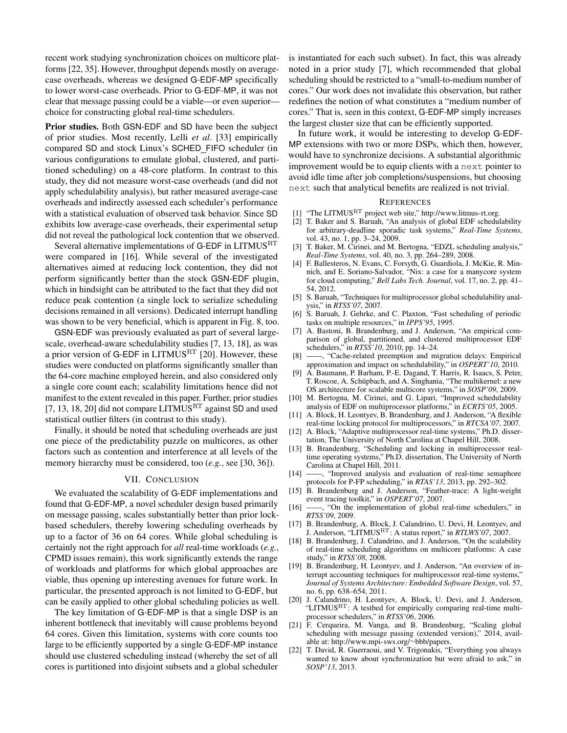recent work studying synchronization choices on multicore platforms [\[22,](#page-10-15) [35\]](#page-11-16). However, throughput depends mostly on averagecase overheads, whereas we designed G-EDF-MP specifically to lower worst-case overheads. Prior to G-EDF-MP, it was not clear that message passing could be a viable—or even superior choice for constructing global real-time schedulers.

Prior studies. Both GSN-EDF and SD have been the subject of prior studies. Most recently, Lelli *et al*. [\[33\]](#page-11-8) empirically compared SD and stock Linux's SCHED FIFO scheduler (in various configurations to emulate global, clustered, and partitioned scheduling) on a 48-core platform. In contrast to this study, they did not measure worst-case overheads (and did not apply schedulability analysis), but rather measured average-case overheads and indirectly assessed each scheduler's performance with a statistical evaluation of observed task behavior. Since SD exhibits low average-case overheads, their experimental setup did not reveal the pathological lock contention that we observed.

Several alternative implementations of G-EDF in LITMUS<sup>RT</sup> were compared in [\[16\]](#page-10-6). While several of the investigated alternatives aimed at reducing lock contention, they did not perform significantly better than the stock GSN-EDF plugin, which in hindsight can be attributed to the fact that they did not reduce peak contention (a single lock to serialize scheduling decisions remained in all versions). Dedicated interrupt handling was shown to be very beneficial, which is apparent in Fig. [8,](#page-9-3) too.

GSN-EDF was previously evaluated as part of several largescale, overhead-aware schedulability studies [\[7,](#page-10-4) [13,](#page-10-5) [18\]](#page-10-7), as was a prior version of G-EDF in LITMUS<sup>RT</sup> [\[20\]](#page-10-12). However, these studies were conducted on platforms significantly smaller than the 64-core machine employed herein, and also considered only a single core count each; scalability limitations hence did not manifest to the extent revealed in this paper. Further, prior studies [\[7,](#page-10-4) [13,](#page-10-5) [18,](#page-10-7) [20\]](#page-10-12) did not compare LITMUS<sup>RT</sup> against SD and used statistical outlier filters (in contrast to this study).

Finally, it should be noted that scheduling overheads are just one piece of the predictability puzzle on multicores, as other factors such as contention and interference at all levels of the memory hierarchy must be considered, too (*e.g.*, see [\[30,](#page-11-17) [36\]](#page-11-18)).

## VII. CONCLUSION

We evaluated the scalability of G-EDF implementations and found that G-EDF-MP, a novel scheduler design based primarily on message passing, scales substantially better than prior lockbased schedulers, thereby lowering scheduling overheads by up to a factor of 36 on 64 cores. While global scheduling is certainly not the right approach for *all* real-time workloads (*e.g.*, CPMD issues remain), this work significantly extends the range of workloads and platforms for which global approaches are viable, thus opening up interesting avenues for future work. In particular, the presented approach is not limited to G-EDF, but can be easily applied to other global scheduling policies as well.

The key limitation of G-EDF-MP is that a single DSP is an inherent bottleneck that inevitably will cause problems beyond 64 cores. Given this limitation, systems with core counts too large to be efficiently supported by a single G-EDF-MP instance should use clustered scheduling instead (whereby the set of all cores is partitioned into disjoint subsets and a global scheduler

is instantiated for each such subset). In fact, this was already noted in a prior study [\[7\]](#page-10-4), which recommended that global scheduling should be restricted to a "small-to-medium number of cores." Our work does not invalidate this observation, but rather redefines the notion of what constitutes a "medium number of cores." That is, seen in this context, G-EDF-MP simply increases the largest cluster size that can be efficiently supported.

In future work, it would be interesting to develop G-EDF-MP extensions with two or more DSPs, which then, however, would have to synchronize decisions. A substantial algorithmic improvement would be to equip clients with a next pointer to avoid idle time after job completions/suspensions, but choosing next such that analytical benefits are realized is not trivial.

#### **REFERENCES**

- <span id="page-10-11"></span>[1] "The LITMUSRT project web site," [http://www.litmus-rt.org.](http://www.litmus-rt.org)
- <span id="page-10-1"></span>[2] T. Baker and S. Baruah, "An analysis of global EDF schedulability for arbitrary-deadline sporadic task systems," *Real-Time Systems*, vol. 43, no. 1, pp. 3–24, 2009.
- <span id="page-10-20"></span>[3] T. Baker, M. Cirinei, and M. Bertogna, "EDZL scheduling analysis," *Real-Time Systems*, vol. 40, no. 3, pp. 264–289, 2008.
- <span id="page-10-21"></span>[4] F. Ballesteros, N. Evans, C. Forsyth, G. Guardiola, J. McKie, R. Minnich, and E. Soriano-Salvador, "Nix: a case for a manycore system for cloud computing," *Bell Labs Tech. Journal*, vol. 17, no. 2, pp. 41– 54, 2012.
- <span id="page-10-2"></span>[5] S. Baruah, "Techniques for multiprocessor global schedulability analysis," in *RTSS'07*, 2007.
- <span id="page-10-0"></span>[6] S. Baruah, J. Gehrke, and C. Plaxton, "Fast scheduling of periodic tasks on multiple resources," in *IPPS'95*, 1995.
- <span id="page-10-4"></span>[7] A. Bastoni, B. Brandenburg, and J. Anderson, "An empirical comparison of global, partitioned, and clustered multiprocessor EDF schedulers," in *RTSS'10*, 2010, pp. 14–24.
- <span id="page-10-17"></span>[8] ——, "Cache-related preemption and migration delays: Empirical approximation and impact on schedulability," in *OSPERT'10*, 2010.
- <span id="page-10-14"></span>[9] A. Baumann, P. Barham, P.-E. Dagand, T. Harris, R. Isaacs, S. Peter, T. Roscoe, A. Schüpbach, and A. Singhania, "The multikernel: a new OS architecture for scalable multicore systems," in *SOSP'09*, 2009.
- <span id="page-10-3"></span>[10] M. Bertogna, M. Cirinei, and G. Lipari, "Improved schedulability analysis of EDF on multiprocessor platforms," in *ECRTS'05*, 2005.
- <span id="page-10-13"></span>[11] A. Block, H. Leontyev, B. Brandenburg, and J. Anderson, "A flexible real-time locking protocol for multiprocessors," in *RTCSA'07*, 2007.
- <span id="page-10-9"></span>[12] A. Block, "Adaptive multiprocessor real-time systems," Ph.D. dissertation, The University of North Carolina at Chapel Hill, 2008.
- <span id="page-10-5"></span>[13] B. Brandenburg, "Scheduling and locking in multiprocessor realtime operating systems," Ph.D. dissertation, The University of North Carolina at Chapel Hill, 2011.
- <span id="page-10-18"></span>[14] ——, "Improved analysis and evaluation of real-time semaphore protocols for P-FP scheduling," in *RTAS'13*, 2013, pp. 292–302.
- <span id="page-10-16"></span>[15] B. Brandenburg and J. Anderson, "Feather-trace: A light-weight event tracing toolkit," in *OSPERT'07*, 2007.
- <span id="page-10-6"></span>[16] ——, "On the implementation of global real-time schedulers," in *RTSS'09*, 2009.
- <span id="page-10-8"></span>[17] B. Brandenburg, A. Block, J. Calandrino, U. Devi, H. Leontyev, and J. Anderson, "LITMUSRT: A status report," in *RTLWS'07*, 2007.
- <span id="page-10-7"></span>[18] B. Brandenburg, J. Calandrino, and J. Anderson, "On the scalability of real-time scheduling algorithms on multicore platforms: A case study," in *RTSS'08*, 2008.
- <span id="page-10-10"></span>[19] B. Brandenburg, H. Leontyev, and J. Anderson, "An overview of interrupt accounting techniques for multiprocessor real-time systems," *Journal of Systems Architecture: Embedded Software Design*, vol. 57, no. 6, pp. 638–654, 2011.
- <span id="page-10-12"></span>[20] J. Calandrino, H. Leontyev, A. Block, U. Devi, and J. Anderson, "LITMUS $R$ <sup>T</sup>: A testbed for empirically comparing real-time multiprocessor schedulers," in *RTSS'06*, 2006.
- <span id="page-10-19"></span>[21] F. Cerqueira, M. Vanga, and B. Brandenburg, "Scaling global scheduling with message passing (extended version)," 2014, available at: [http://www.mpi-sws.org/](http://www.mpi-sws.org/~bbb/papers)∼bbb/papers.
- <span id="page-10-15"></span>[22] T. David, R. Guerraoui, and V. Trigonakis, "Everything you always wanted to know about synchronization but were afraid to ask," in *SOSP'13*, 2013.